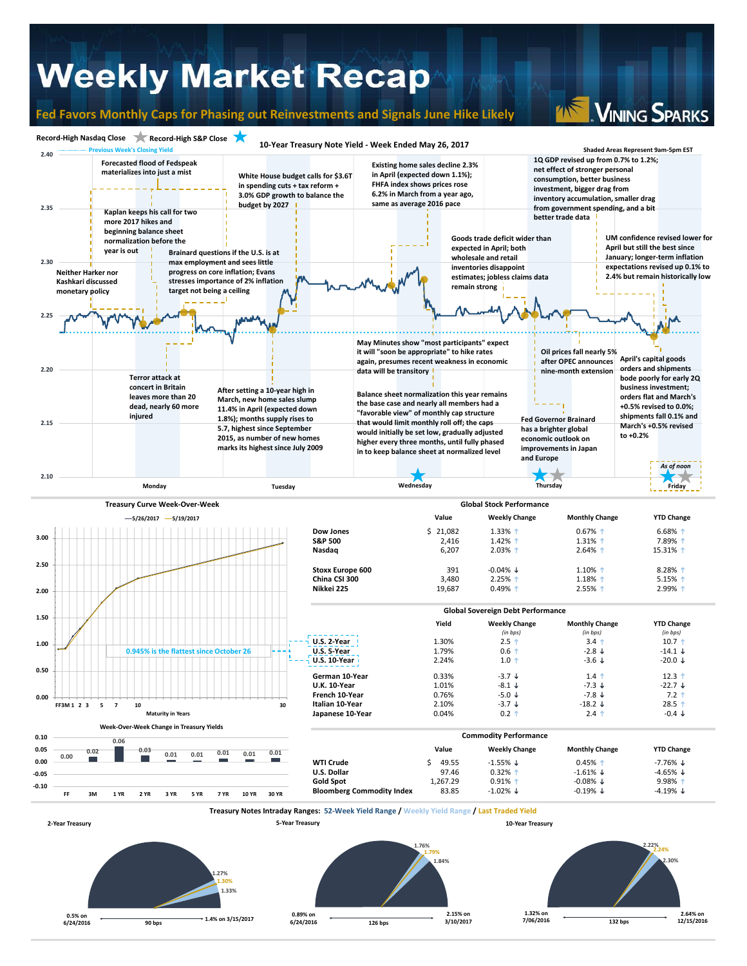## **Weekly Market Recap**

**0.5% on** 

**6/24/2016 1.4% on 3/15/2017 90 bps**

**0.89% on 6/24/2016**

**2.15% on** 

**1.32% on 7/06/2016**

**2.64% on 132 bps 12/15/2016**

**126 bps 3/10/2017**

### **Fed Favors Monthly Caps for Phasing out Reinvestments and Signals June Hike Likely**

VINING SPARKS